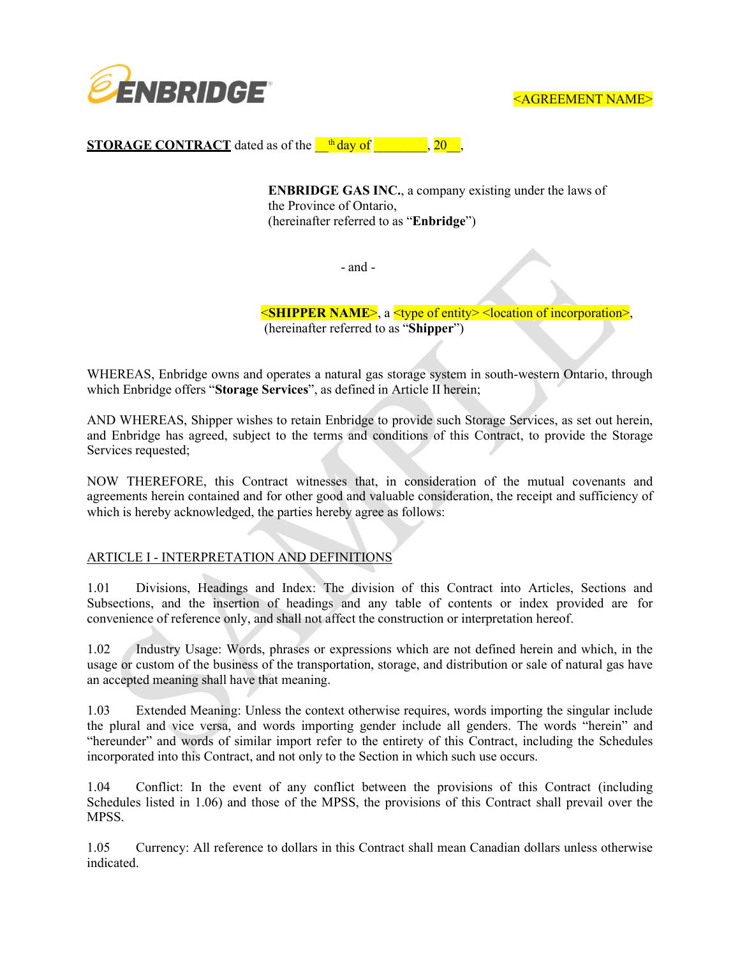

**STORAGE CONTRACT** dated as of the  $\frac{th}{dq}$  day of  $\frac{1}{20}$ , 20

**ENBRIDGE GAS INC.**, a company existing under the laws of the Province of Ontario, (hereinafter referred to as "**Enbridge**")

- and -

<**SHIPPER NAME**>, a <type of entity> <location of incorporation>, (hereinafter referred to as "**Shipper**")

WHEREAS, Enbridge owns and operates a natural gas storage system in south-western Ontario, through which Enbridge offers "**Storage Services**", as defined in Article II herein;

AND WHEREAS, Shipper wishes to retain Enbridge to provide such Storage Services, as set out herein, and Enbridge has agreed, subject to the terms and conditions of this Contract, to provide the Storage Services requested;

NOW THEREFORE, this Contract witnesses that, in consideration of the mutual covenants and agreements herein contained and for other good and valuable consideration, the receipt and sufficiency of which is hereby acknowledged, the parties hereby agree as follows:

## ARTICLE I - INTERPRETATION AND DEFINITIONS

1.01 Divisions, Headings and Index: The division of this Contract into Articles, Sections and Subsections, and the insertion of headings and any table of contents or index provided are for convenience of reference only, and shall not affect the construction or interpretation hereof.

1.02 Industry Usage: Words, phrases or expressions which are not defined herein and which, in the usage or custom of the business of the transportation, storage, and distribution or sale of natural gas have an accepted meaning shall have that meaning.

1.03 Extended Meaning: Unless the context otherwise requires, words importing the singular include the plural and vice versa, and words importing gender include all genders. The words "herein" and "hereunder" and words of similar import refer to the entirety of this Contract, including the Schedules incorporated into this Contract, and not only to the Section in which such use occurs.

1.04 Conflict: In the event of any conflict between the provisions of this Contract (including Schedules listed in 1.06) and those of the MPSS, the provisions of this Contract shall prevail over the MPSS.

1.05 Currency: All reference to dollars in this Contract shall mean Canadian dollars unless otherwise indicated.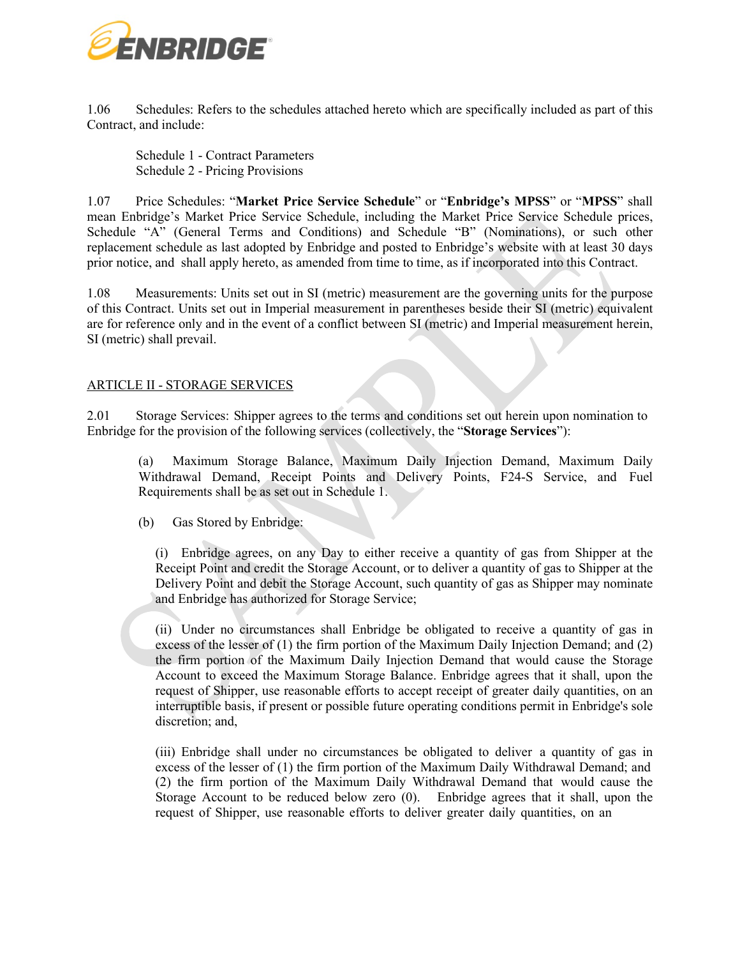

1.06 Schedules: Refers to the schedules attached hereto which are specifically included as part of this Contract, and include:

Schedule 1 - Contract Parameters Schedule 2 - Pricing Provisions

1.07 Price Schedules: "**Market Price Service Schedule**" or "**Enbridge's MPSS**" or "**MPSS**" shall mean Enbridge's Market Price Service Schedule, including the Market Price Service Schedule prices, Schedule "A" (General Terms and Conditions) and Schedule "B" (Nominations), or such other replacement schedule as last adopted by Enbridge and posted to Enbridge's website with at least 30 days prior notice, and shall apply hereto, as amended from time to time, as if incorporated into this Contract.

1.08 Measurements: Units set out in SI (metric) measurement are the governing units for the purpose of this Contract. Units set out in Imperial measurement in parentheses beside their SI (metric) equivalent are for reference only and in the event of a conflict between SI (metric) and Imperial measurement herein, SI (metric) shall prevail.

## ARTICLE II - STORAGE SERVICES

2.01 Storage Services: Shipper agrees to the terms and conditions set out herein upon nomination to Enbridge for the provision of the following services (collectively, the "**Storage Services**"):

(a) Maximum Storage Balance, Maximum Daily Injection Demand, Maximum Daily Withdrawal Demand, Receipt Points and Delivery Points, F24-S Service, and Fuel Requirements shall be as set out in Schedule 1.

(b) Gas Stored by Enbridge:

(i) Enbridge agrees, on any Day to either receive a quantity of gas from Shipper at the Receipt Point and credit the Storage Account, or to deliver a quantity of gas to Shipper at the Delivery Point and debit the Storage Account, such quantity of gas as Shipper may nominate and Enbridge has authorized for Storage Service;

(ii) Under no circumstances shall Enbridge be obligated to receive a quantity of gas in excess of the lesser of (1) the firm portion of the Maximum Daily Injection Demand; and (2) the firm portion of the Maximum Daily Injection Demand that would cause the Storage Account to exceed the Maximum Storage Balance. Enbridge agrees that it shall, upon the request of Shipper, use reasonable efforts to accept receipt of greater daily quantities, on an interruptible basis, if present or possible future operating conditions permit in Enbridge's sole discretion; and,

(iii) Enbridge shall under no circumstances be obligated to deliver a quantity of gas in excess of the lesser of (1) the firm portion of the Maximum Daily Withdrawal Demand; and (2) the firm portion of the Maximum Daily Withdrawal Demand that would cause the Storage Account to be reduced below zero (0). Enbridge agrees that it shall, upon the request of Shipper, use reasonable efforts to deliver greater daily quantities, on an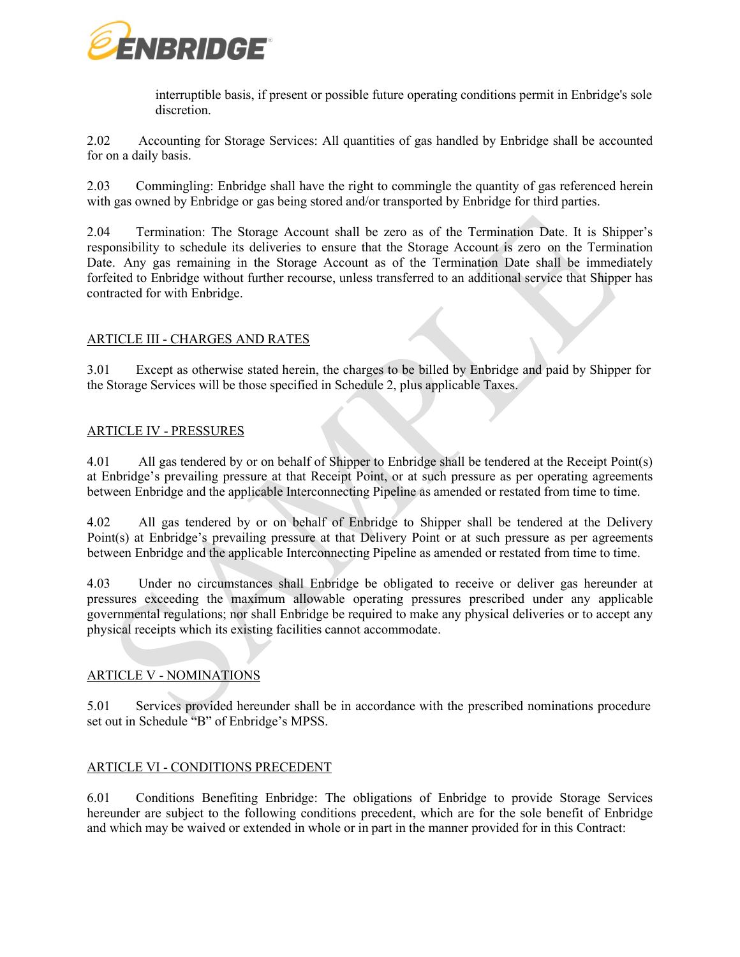

interruptible basis, if present or possible future operating conditions permit in Enbridge's sole discretion.

2.02 Accounting for Storage Services: All quantities of gas handled by Enbridge shall be accounted for on a daily basis.

2.03 Commingling: Enbridge shall have the right to commingle the quantity of gas referenced herein with gas owned by Enbridge or gas being stored and/or transported by Enbridge for third parties.

2.04 Termination: The Storage Account shall be zero as of the Termination Date. It is Shipper's responsibility to schedule its deliveries to ensure that the Storage Account is zero on the Termination Date. Any gas remaining in the Storage Account as of the Termination Date shall be immediately forfeited to Enbridge without further recourse, unless transferred to an additional service that Shipper has contracted for with Enbridge.

# ARTICLE III - CHARGES AND RATES

3.01 Except as otherwise stated herein, the charges to be billed by Enbridge and paid by Shipper for the Storage Services will be those specified in Schedule 2, plus applicable Taxes.

## ARTICLE IV - PRESSURES

4.01 All gas tendered by or on behalf of Shipper to Enbridge shall be tendered at the Receipt Point(s) at Enbridge's prevailing pressure at that Receipt Point, or at such pressure as per operating agreements between Enbridge and the applicable Interconnecting Pipeline as amended or restated from time to time.

4.02 All gas tendered by or on behalf of Enbridge to Shipper shall be tendered at the Delivery Point(s) at Enbridge's prevailing pressure at that Delivery Point or at such pressure as per agreements between Enbridge and the applicable Interconnecting Pipeline as amended or restated from time to time.

4.03 Under no circumstances shall Enbridge be obligated to receive or deliver gas hereunder at pressures exceeding the maximum allowable operating pressures prescribed under any applicable governmental regulations; nor shall Enbridge be required to make any physical deliveries or to accept any physical receipts which its existing facilities cannot accommodate.

## ARTICLE V - NOMINATIONS

5.01 Services provided hereunder shall be in accordance with the prescribed nominations procedure set out in Schedule "B" of Enbridge's MPSS.

## ARTICLE VI - CONDITIONS PRECEDENT

6.01 Conditions Benefiting Enbridge: The obligations of Enbridge to provide Storage Services hereunder are subject to the following conditions precedent, which are for the sole benefit of Enbridge and which may be waived or extended in whole or in part in the manner provided for in this Contract: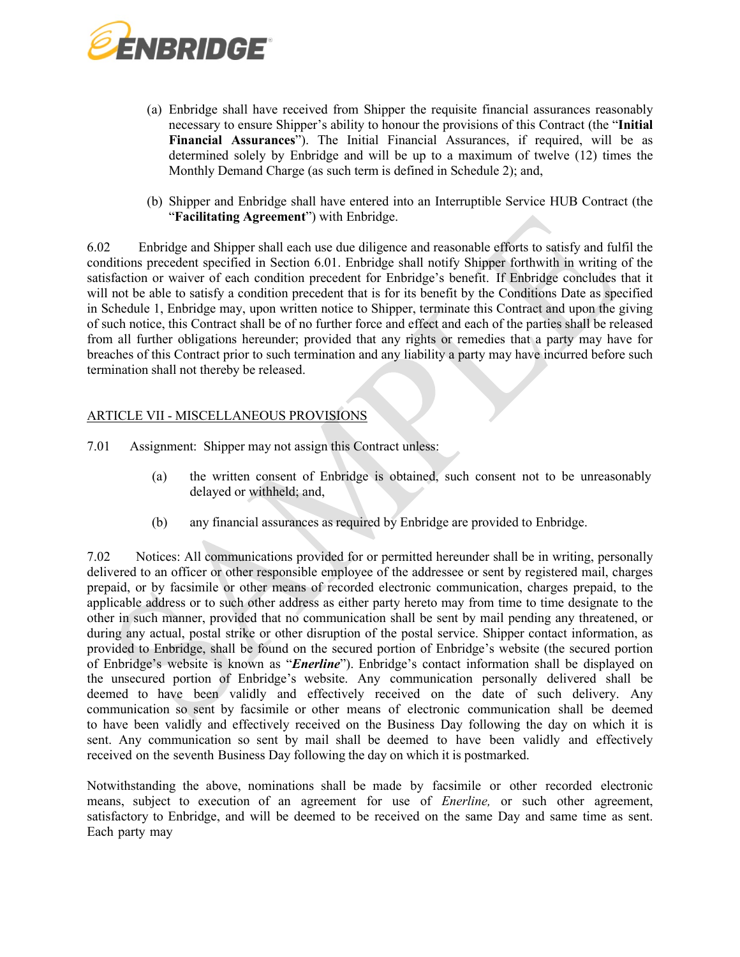

- (a) Enbridge shall have received from Shipper the requisite financial assurances reasonably necessary to ensure Shipper's ability to honour the provisions of this Contract (the "**Initial Financial Assurances**"). The Initial Financial Assurances, if required, will be as determined solely by Enbridge and will be up to a maximum of twelve (12) times the Monthly Demand Charge (as such term is defined in Schedule 2); and,
- (b) Shipper and Enbridge shall have entered into an Interruptible Service HUB Contract (the "**Facilitating Agreement**") with Enbridge.

6.02 Enbridge and Shipper shall each use due diligence and reasonable efforts to satisfy and fulfil the conditions precedent specified in Section 6.01. Enbridge shall notify Shipper forthwith in writing of the satisfaction or waiver of each condition precedent for Enbridge's benefit. If Enbridge concludes that it will not be able to satisfy a condition precedent that is for its benefit by the Conditions Date as specified in Schedule 1, Enbridge may, upon written notice to Shipper, terminate this Contract and upon the giving of such notice, this Contract shall be of no further force and effect and each of the parties shall be released from all further obligations hereunder; provided that any rights or remedies that a party may have for breaches of this Contract prior to such termination and any liability a party may have incurred before such termination shall not thereby be released.

## ARTICLE VII - MISCELLANEOUS PROVISIONS

- 7.01 Assignment: Shipper may not assign this Contract unless:
	- (a) the written consent of Enbridge is obtained, such consent not to be unreasonably delayed or withheld; and,
	- (b) any financial assurances as required by Enbridge are provided to Enbridge.

7.02 Notices: All communications provided for or permitted hereunder shall be in writing, personally delivered to an officer or other responsible employee of the addressee or sent by registered mail, charges prepaid, or by facsimile or other means of recorded electronic communication, charges prepaid, to the applicable address or to such other address as either party hereto may from time to time designate to the other in such manner, provided that no communication shall be sent by mail pending any threatened, or during any actual, postal strike or other disruption of the postal service. Shipper contact information, as provided to Enbridge, shall be found on the secured portion of Enbridge's website (the secured portion of Enbridge's website is known as "*Enerline*"). Enbridge's contact information shall be displayed on the unsecured portion of Enbridge's website. Any communication personally delivered shall be deemed to have been validly and effectively received on the date of such delivery. Any communication so sent by facsimile or other means of electronic communication shall be deemed to have been validly and effectively received on the Business Day following the day on which it is sent. Any communication so sent by mail shall be deemed to have been validly and effectively received on the seventh Business Day following the day on which it is postmarked.

Notwithstanding the above, nominations shall be made by facsimile or other recorded electronic means, subject to execution of an agreement for use of *Enerline,* or such other agreement, satisfactory to Enbridge, and will be deemed to be received on the same Day and same time as sent. Each party may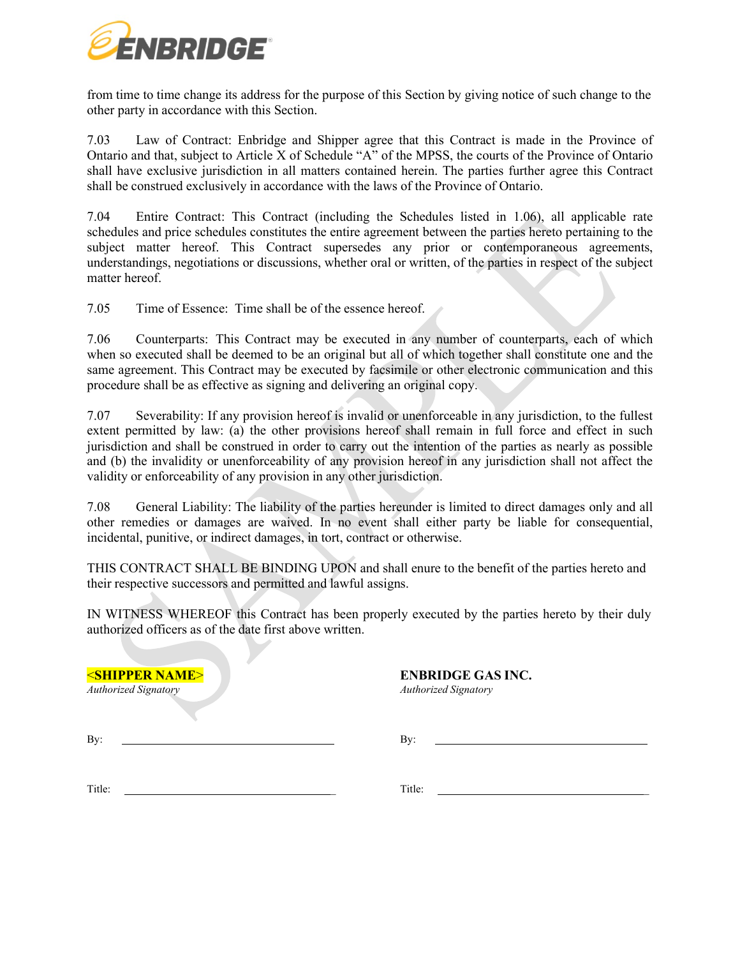

from time to time change its address for the purpose of this Section by giving notice of such change to the other party in accordance with this Section.

7.03 Law of Contract: Enbridge and Shipper agree that this Contract is made in the Province of Ontario and that, subject to Article X of Schedule "A" of the MPSS, the courts of the Province of Ontario shall have exclusive jurisdiction in all matters contained herein. The parties further agree this Contract shall be construed exclusively in accordance with the laws of the Province of Ontario.

7.04 Entire Contract: This Contract (including the Schedules listed in 1.06), all applicable rate schedules and price schedules constitutes the entire agreement between the parties hereto pertaining to the subject matter hereof. This Contract supersedes any prior or contemporaneous agreements, understandings, negotiations or discussions, whether oral or written, of the parties in respect of the subject matter hereof.

7.05 Time of Essence: Time shall be of the essence hereof.

7.06 Counterparts: This Contract may be executed in any number of counterparts, each of which when so executed shall be deemed to be an original but all of which together shall constitute one and the same agreement. This Contract may be executed by facsimile or other electronic communication and this procedure shall be as effective as signing and delivering an original copy.

7.07 Severability: If any provision hereof is invalid or unenforceable in any jurisdiction, to the fullest extent permitted by law: (a) the other provisions hereof shall remain in full force and effect in such jurisdiction and shall be construed in order to carry out the intention of the parties as nearly as possible and (b) the invalidity or unenforceability of any provision hereof in any jurisdiction shall not affect the validity or enforceability of any provision in any other jurisdiction.

7.08 General Liability: The liability of the parties hereunder is limited to direct damages only and all other remedies or damages are waived. In no event shall either party be liable for consequential, incidental, punitive, or indirect damages, in tort, contract or otherwise.

THIS CONTRACT SHALL BE BINDING UPON and shall enure to the benefit of the parties hereto and their respective successors and permitted and lawful assigns.

IN WITNESS WHEREOF this Contract has been properly executed by the parties hereto by their duly authorized officers as of the date first above written.

<**SHIPPER NAME**> **ENBRIDGE GAS INC.** *Authorized Signatory Authorized Signatory*

By: By:

Title: \_ Title: \_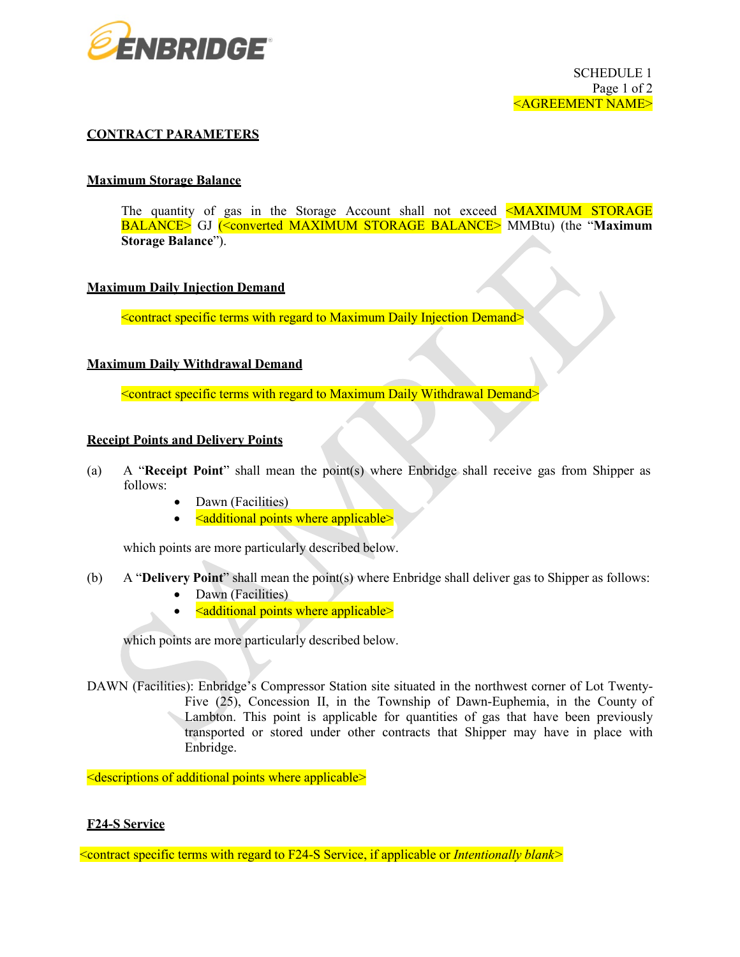

## **CONTRACT PARAMETERS**

### **Maximum Storage Balance**

The quantity of gas in the Storage Account shall not exceed  $\leq$ MAXIMUM STORAGE BALANCE> GJ (<converted MAXIMUM STORAGE BALANCE> MMBtu) (the "**Maximum Storage Balance**").

### **Maximum Daily Injection Demand**

<contract specific terms with regard to Maximum Daily Injection Demand>

### **Maximum Daily Withdrawal Demand**

<contract specific terms with regard to Maximum Daily Withdrawal Demand>

### **Receipt Points and Delivery Points**

- (a) A "**Receipt Point**" shall mean the point(s) where Enbridge shall receive gas from Shipper as follows:
	- Dawn (Facilities)
	- <additional points where applicable>

which points are more particularly described below.

- (b) A "**Delivery Point**" shall mean the point(s) where Enbridge shall deliver gas to Shipper as follows: Dawn (Facilities)
	- <additional points where applicable>

which points are more particularly described below.

DAWN (Facilities): Enbridge's Compressor Station site situated in the northwest corner of Lot Twenty-Five (25), Concession II, in the Township of Dawn-Euphemia, in the County of Lambton. This point is applicable for quantities of gas that have been previously transported or stored under other contracts that Shipper may have in place with Enbridge.

<descriptions of additional points where applicable>

## **F24-S Service**

<contract specific terms with regard to F24-S Service, if applicable or *Intentionally blank>*